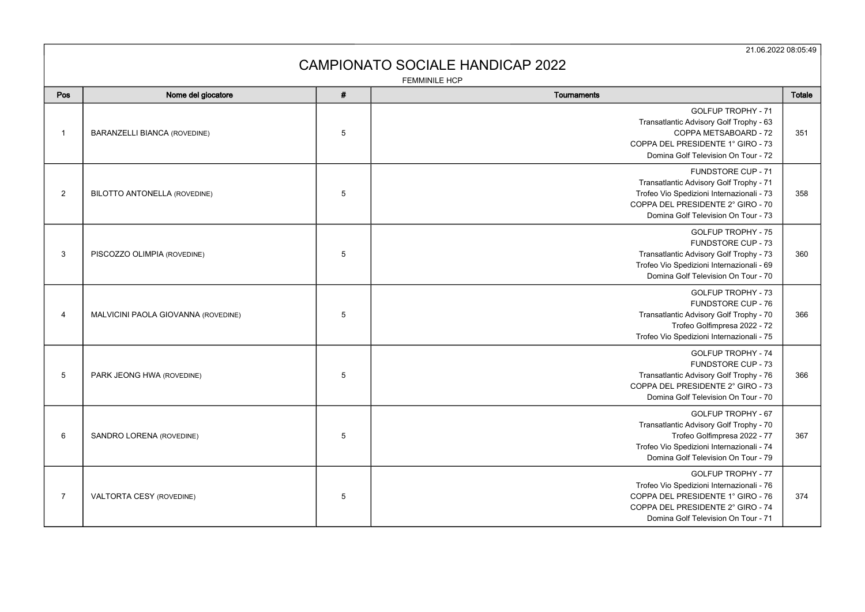21.06.2022 08:05:49

## CAMPIONATO SOCIALE HANDICAP 2022

FEMMINILE HCP

| Pos            | Nome del giocatore                  | # | Tournaments                                                                                                                                                                              | Totale |
|----------------|-------------------------------------|---|------------------------------------------------------------------------------------------------------------------------------------------------------------------------------------------|--------|
| -1             | <b>BARANZELLI BIANCA (ROVEDINE)</b> | 5 | <b>GOLFUP TROPHY - 71</b><br>Transatlantic Advisory Golf Trophy - 63<br>COPPA METSABOARD - 72<br>COPPA DEL PRESIDENTE 1° GIRO - 73<br>Domina Golf Television On Tour - 72                | 351    |
| 2              | <b>BILOTTO ANTONELLA (ROVEDINE)</b> | 5 | FUNDSTORE CUP - 71<br>Transatlantic Advisory Golf Trophy - 71<br>Trofeo Vio Spedizioni Internazionali - 73<br>COPPA DEL PRESIDENTE 2° GIRO - 70<br>Domina Golf Television On Tour - 73   | 358    |
| 3              | PISCOZZO OLIMPIA (ROVEDINE)         | 5 | <b>GOLFUP TROPHY - 75</b><br>FUNDSTORE CUP - 73<br>Transatlantic Advisory Golf Trophy - 73<br>Trofeo Vio Spedizioni Internazionali - 69<br>Domina Golf Television On Tour - 70           | 360    |
| 4              | MALVICINI PAOLA GIOVANNA (ROVEDINE) | 5 | <b>GOLFUP TROPHY - 73</b><br>FUNDSTORE CUP - 76<br>Transatlantic Advisory Golf Trophy - 70<br>Trofeo Golfimpresa 2022 - 72<br>Trofeo Vio Spedizioni Internazionali - 75                  | 366    |
| 5              | PARK JEONG HWA (ROVEDINE)           | 5 | <b>GOLFUP TROPHY - 74</b><br>FUNDSTORE CUP - 73<br>Transatlantic Advisory Golf Trophy - 76<br>COPPA DEL PRESIDENTE 2° GIRO - 73<br>Domina Golf Television On Tour - 70                   | 366    |
| 6              | SANDRO LORENA (ROVEDINE)            | 5 | <b>GOLFUP TROPHY - 67</b><br>Transatlantic Advisory Golf Trophy - 70<br>Trofeo Golfimpresa 2022 - 77<br>Trofeo Vio Spedizioni Internazionali - 74<br>Domina Golf Television On Tour - 79 | 367    |
| $\overline{7}$ | VALTORTA CESY (ROVEDINE)            | 5 | <b>GOLFUP TROPHY - 77</b><br>Trofeo Vio Spedizioni Internazionali - 76<br>COPPA DEL PRESIDENTE 1° GIRO - 76<br>COPPA DEL PRESIDENTE 2° GIRO - 74<br>Domina Golf Television On Tour - 71  | 374    |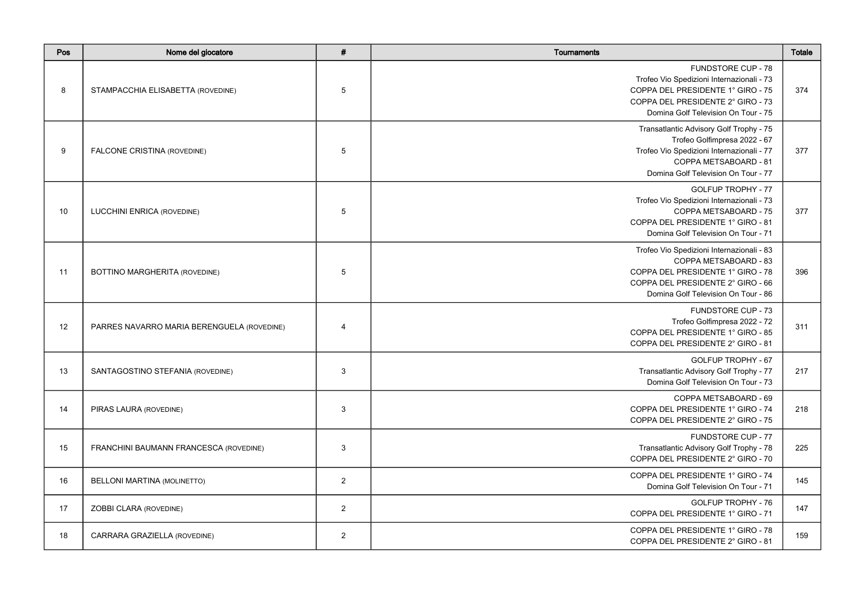| Pos | Nome del giocatore                         | #              | <b>Tournaments</b>                                                                                                                                                                      | Totale |
|-----|--------------------------------------------|----------------|-----------------------------------------------------------------------------------------------------------------------------------------------------------------------------------------|--------|
| 8   | STAMPACCHIA ELISABETTA (ROVEDINE)          | 5              | <b>FUNDSTORE CUP - 78</b><br>Trofeo Vio Spedizioni Internazionali - 73<br>COPPA DEL PRESIDENTE 1° GIRO - 75<br>COPPA DEL PRESIDENTE 2° GIRO - 73<br>Domina Golf Television On Tour - 75 | 374    |
| 9   | FALCONE CRISTINA (ROVEDINE)                | 5              | Transatlantic Advisory Golf Trophy - 75<br>Trofeo Golfimpresa 2022 - 67<br>Trofeo Vio Spedizioni Internazionali - 77<br>COPPA METSABOARD - 81<br>Domina Golf Television On Tour - 77    | 377    |
| 10  | LUCCHINI ENRICA (ROVEDINE)                 | 5              | <b>GOLFUP TROPHY - 77</b><br>Trofeo Vio Spedizioni Internazionali - 73<br>COPPA METSABOARD - 75<br>COPPA DEL PRESIDENTE 1° GIRO - 81<br>Domina Golf Television On Tour - 71             | 377    |
| 11  | BOTTINO MARGHERITA (ROVEDINE)              | 5              | Trofeo Vio Spedizioni Internazionali - 83<br>COPPA METSABOARD - 83<br>COPPA DEL PRESIDENTE 1° GIRO - 78<br>COPPA DEL PRESIDENTE 2° GIRO - 66<br>Domina Golf Television On Tour - 86     | 396    |
| 12  | PARRES NAVARRO MARIA BERENGUELA (ROVEDINE) | $\overline{4}$ | FUNDSTORE CUP - 73<br>Trofeo Golfimpresa 2022 - 72<br>COPPA DEL PRESIDENTE 1° GIRO - 85<br>COPPA DEL PRESIDENTE 2° GIRO - 81                                                            | 311    |
| 13  | SANTAGOSTINO STEFANIA (ROVEDINE)           | $\mathbf{3}$   | <b>GOLFUP TROPHY - 67</b><br>Transatlantic Advisory Golf Trophy - 77<br>Domina Golf Television On Tour - 73                                                                             | 217    |
| 14  | PIRAS LAURA (ROVEDINE)                     | 3              | COPPA METSABOARD - 69<br>COPPA DEL PRESIDENTE 1° GIRO - 74<br>COPPA DEL PRESIDENTE 2° GIRO - 75                                                                                         | 218    |
| 15  | FRANCHINI BAUMANN FRANCESCA (ROVEDINE)     | $\mathbf{3}$   | <b>FUNDSTORE CUP - 77</b><br>Transatlantic Advisory Golf Trophy - 78<br>COPPA DEL PRESIDENTE 2° GIRO - 70                                                                               | 225    |
| 16  | <b>BELLONI MARTINA (MOLINETTO)</b>         | 2              | COPPA DEL PRESIDENTE 1° GIRO - 74<br>Domina Golf Television On Tour - 71                                                                                                                | 145    |
| 17  | ZOBBI CLARA (ROVEDINE)                     | $\overline{2}$ | GOLFUP TROPHY - 76<br>COPPA DEL PRESIDENTE 1° GIRO - 71                                                                                                                                 | 147    |
| 18  | CARRARA GRAZIELLA (ROVEDINE)               | 2              | COPPA DEL PRESIDENTE 1° GIRO - 78<br>COPPA DEL PRESIDENTE 2° GIRO - 81                                                                                                                  | 159    |